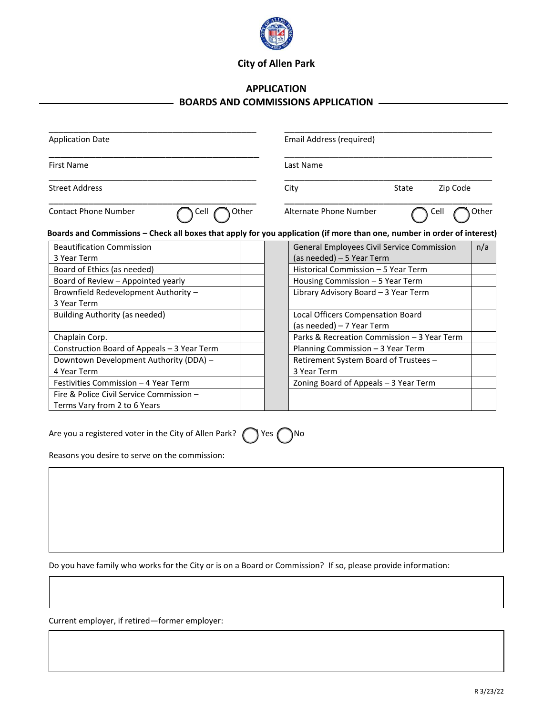

## **City of Allen Park**

## **APPLICATION BOARDS AND COMMISSIONS APPLICATION**

| <b>Application Date</b><br><b>First Name</b>                                                                            |       | Email Address (required)<br>Last Name |                                                   |       |                       |
|-------------------------------------------------------------------------------------------------------------------------|-------|---------------------------------------|---------------------------------------------------|-------|-----------------------|
|                                                                                                                         |       |                                       |                                                   |       | <b>Street Address</b> |
| <b>Contact Phone Number</b><br>Cell                                                                                     | Other | Alternate Phone Number                | Cell                                              | Other |                       |
| Boards and Commissions – Check all boxes that apply for you application (if more than one, number in order of interest) |       |                                       |                                                   |       |                       |
| <b>Beautification Commission</b>                                                                                        |       |                                       | General Employees Civil Service Commission<br>n/a |       |                       |
| 3 Year Term                                                                                                             |       |                                       | (as needed) – 5 Year Term                         |       |                       |
| Board of Ethics (as needed)                                                                                             |       |                                       | Historical Commission - 5 Year Term               |       |                       |
| Board of Review - Appointed yearly                                                                                      |       |                                       | Housing Commission – 5 Year Term                  |       |                       |
| Brownfield Redevelopment Authority -<br>3 Year Term                                                                     |       |                                       | Library Advisory Board - 3 Year Term              |       |                       |
| Building Authority (as needed)                                                                                          |       | Local Officers Compensation Board     |                                                   |       |                       |
|                                                                                                                         |       | (as needed) – 7 Year Term             |                                                   |       |                       |
| Chaplain Corp.                                                                                                          |       |                                       | Parks & Recreation Commission - 3 Year Term       |       |                       |
| Construction Board of Appeals - 3 Year Term                                                                             |       |                                       | Planning Commission - 3 Year Term                 |       |                       |
| Downtown Development Authority (DDA) -                                                                                  |       |                                       | Retirement System Board of Trustees -             |       |                       |
| 4 Year Term                                                                                                             |       | 3 Year Term                           |                                                   |       |                       |
| Festivities Commission - 4 Year Term                                                                                    |       |                                       | Zoning Board of Appeals - 3 Year Term             |       |                       |
| Fire & Police Civil Service Commission -                                                                                |       |                                       |                                                   |       |                       |
| Terms Vary from 2 to 6 Years                                                                                            |       |                                       |                                                   |       |                       |

Are you a registered voter in the City of Allen Park?  $\bigcap$  Yes  $\bigcap$  No

Reasons you desire to serve on the commission:

Do you have family who works for the City or is on a Board or Commission? If so, please provide information:

Current employer, if retired—former employer: